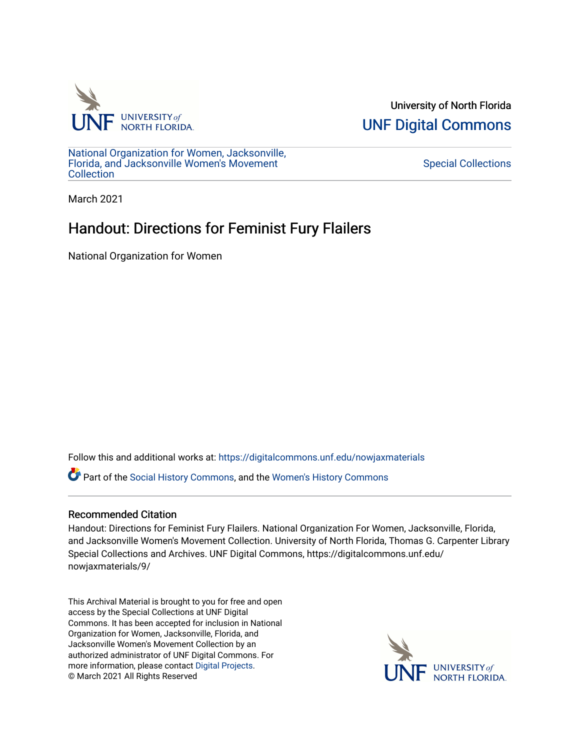

University of North Florida [UNF Digital Commons](https://digitalcommons.unf.edu/) 

[National Organization for Women, Jacksonville,](https://digitalcommons.unf.edu/nowjaxmaterials) [Florida, and Jacksonville Women's Movement](https://digitalcommons.unf.edu/nowjaxmaterials) **Collection** 

[Special Collections](https://digitalcommons.unf.edu/special_collections) 

March 2021

# Handout: Directions for Feminist Fury Flailers

National Organization for Women

Follow this and additional works at: [https://digitalcommons.unf.edu/nowjaxmaterials](https://digitalcommons.unf.edu/nowjaxmaterials?utm_source=digitalcommons.unf.edu%2Fnowjaxmaterials%2F9&utm_medium=PDF&utm_campaign=PDFCoverPages) 

Part of the [Social History Commons](http://network.bepress.com/hgg/discipline/506?utm_source=digitalcommons.unf.edu%2Fnowjaxmaterials%2F9&utm_medium=PDF&utm_campaign=PDFCoverPages), and the [Women's History Commons](http://network.bepress.com/hgg/discipline/507?utm_source=digitalcommons.unf.edu%2Fnowjaxmaterials%2F9&utm_medium=PDF&utm_campaign=PDFCoverPages)

## Recommended Citation

Handout: Directions for Feminist Fury Flailers. National Organization For Women, Jacksonville, Florida, and Jacksonville Women's Movement Collection. University of North Florida, Thomas G. Carpenter Library Special Collections and Archives. UNF Digital Commons, https://digitalcommons.unf.edu/ nowjaxmaterials/9/

This Archival Material is brought to you for free and open access by the Special Collections at UNF Digital Commons. It has been accepted for inclusion in National Organization for Women, Jacksonville, Florida, and Jacksonville Women's Movement Collection by an authorized administrator of UNF Digital Commons. For more information, please contact [Digital Projects](mailto:lib-digital@unf.edu). © March 2021 All Rights Reserved